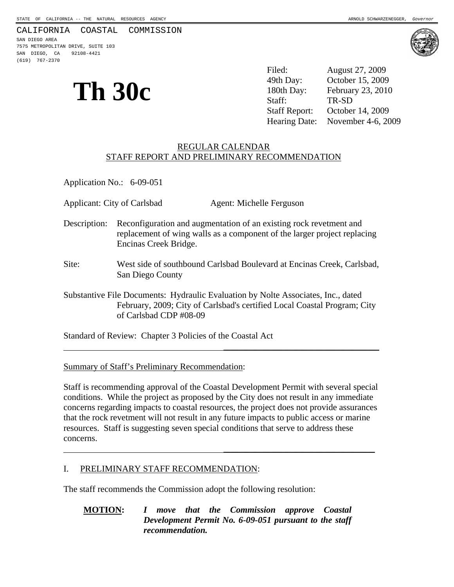#### CALIFORNIA COASTAL COMMISSION

SAN DIEGO AREA 7575 METROPOLITAN DRIVE, SUITE 103 SAN DIEGO, CA 92108-4421 (619) 767-2370

# **Th 30c**

Filed: August 27, 2009 49th Day: October 15, 2009 180th Day: February 23, 2010

Staff Report: October 14, 2009 Hearing Date: November 4-6, 2009

#### REGULAR CALENDAR STAFF REPORT AND PRELIMINARY RECOMMENDATION

Application No.: 6-09-051

Applicant: City of Carlsbad Agent: Michelle Ferguson

- Description: Reconfiguration and augmentation of an existing rock revetment and replacement of wing walls as a component of the larger project replacing Encinas Creek Bridge.
- Site: West side of southbound Carlsbad Boulevard at Encinas Creek, Carlsbad, San Diego County
- Substantive File Documents: Hydraulic Evaluation by Nolte Associates, Inc., dated February, 2009; City of Carlsbad's certified Local Coastal Program; City of Carlsbad CDP #08-09

 $\overline{\phantom{a}}$  , and the contract of the contract of the contract of the contract of the contract of the contract of the contract of the contract of the contract of the contract of the contract of the contract of the contrac

Standard of Review: Chapter 3 Policies of the Coastal Act

Summary of Staff's Preliminary Recommendation:

Staff is recommending approval of the Coastal Development Permit with several special conditions. While the project as proposed by the City does not result in any immediate concerns regarding impacts to coastal resources, the project does not provide assurances that the rock revetment will not result in any future impacts to public access or marine resources. Staff is suggesting seven special conditions that serve to address these concerns.

 $\overline{\phantom{a}}$  , and the contract of the contract of the contract of the contract of the contract of the contract of the contract of the contract of the contract of the contract of the contract of the contract of the contrac

#### I. PRELIMINARY STAFF RECOMMENDATION:

The staff recommends the Commission adopt the following resolution:

**MOTION:** *I move that the Commission approve Coastal Development Permit No. 6-09-051 pursuant to the staff recommendation.*



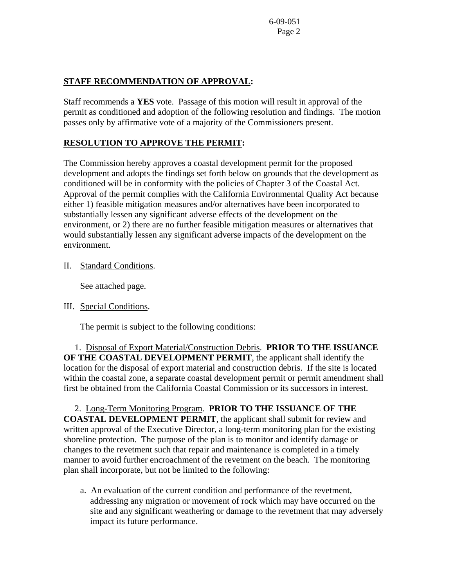## **STAFF RECOMMENDATION OF APPROVAL:**

Staff recommends a **YES** vote. Passage of this motion will result in approval of the permit as conditioned and adoption of the following resolution and findings. The motion passes only by affirmative vote of a majority of the Commissioners present.

## **RESOLUTION TO APPROVE THE PERMIT:**

The Commission hereby approves a coastal development permit for the proposed development and adopts the findings set forth below on grounds that the development as conditioned will be in conformity with the policies of Chapter 3 of the Coastal Act. Approval of the permit complies with the California Environmental Quality Act because either 1) feasible mitigation measures and/or alternatives have been incorporated to substantially lessen any significant adverse effects of the development on the environment, or 2) there are no further feasible mitigation measures or alternatives that would substantially lessen any significant adverse impacts of the development on the environment.

II. Standard Conditions.

See attached page.

III. Special Conditions.

The permit is subject to the following conditions:

 1. Disposal of Export Material/Construction Debris. **PRIOR TO THE ISSUANCE OF THE COASTAL DEVELOPMENT PERMIT**, the applicant shall identify the location for the disposal of export material and construction debris. If the site is located within the coastal zone, a separate coastal development permit or permit amendment shall first be obtained from the California Coastal Commission or its successors in interest.

 2. Long-Term Monitoring Program. **PRIOR TO THE ISSUANCE OF THE COASTAL DEVELOPMENT PERMIT**, the applicant shall submit for review and written approval of the Executive Director, a long-term monitoring plan for the existing shoreline protection. The purpose of the plan is to monitor and identify damage or changes to the revetment such that repair and maintenance is completed in a timely manner to avoid further encroachment of the revetment on the beach. The monitoring plan shall incorporate, but not be limited to the following:

 a. An evaluation of the current condition and performance of the revetment, addressing any migration or movement of rock which may have occurred on the site and any significant weathering or damage to the revetment that may adversely impact its future performance.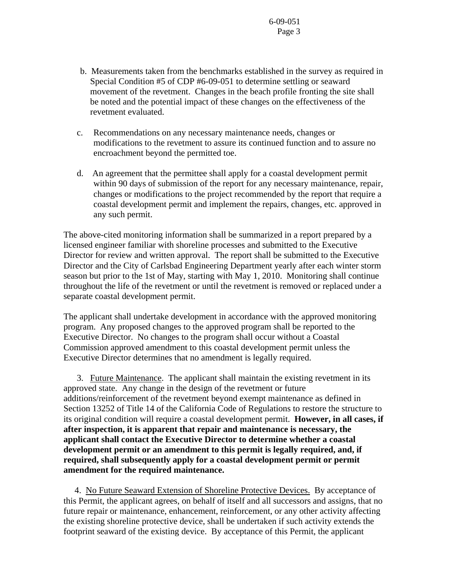- b. Measurements taken from the benchmarks established in the survey as required in Special Condition #5 of CDP #6-09-051 to determine settling or seaward movement of the revetment. Changes in the beach profile fronting the site shall be noted and the potential impact of these changes on the effectiveness of the revetment evaluated.
- c. Recommendations on any necessary maintenance needs, changes or modifications to the revetment to assure its continued function and to assure no encroachment beyond the permitted toe.
- d. An agreement that the permittee shall apply for a coastal development permit within 90 days of submission of the report for any necessary maintenance, repair, changes or modifications to the project recommended by the report that require a coastal development permit and implement the repairs, changes, etc. approved in any such permit.

The above-cited monitoring information shall be summarized in a report prepared by a licensed engineer familiar with shoreline processes and submitted to the Executive Director for review and written approval. The report shall be submitted to the Executive Director and the City of Carlsbad Engineering Department yearly after each winter storm season but prior to the 1st of May, starting with May 1, 2010. Monitoring shall continue throughout the life of the revetment or until the revetment is removed or replaced under a separate coastal development permit.

The applicant shall undertake development in accordance with the approved monitoring program. Any proposed changes to the approved program shall be reported to the Executive Director. No changes to the program shall occur without a Coastal Commission approved amendment to this coastal development permit unless the Executive Director determines that no amendment is legally required.

 3. Future Maintenance. The applicant shall maintain the existing revetment in its approved state. Any change in the design of the revetment or future additions/reinforcement of the revetment beyond exempt maintenance as defined in Section 13252 of Title 14 of the California Code of Regulations to restore the structure to its original condition will require a coastal development permit. **However, in all cases, if after inspection, it is apparent that repair and maintenance is necessary, the applicant shall contact the Executive Director to determine whether a coastal development permit or an amendment to this permit is legally required, and, if required, shall subsequently apply for a coastal development permit or permit amendment for the required maintenance.**

 4. No Future Seaward Extension of Shoreline Protective Devices. By acceptance of this Permit, the applicant agrees, on behalf of itself and all successors and assigns, that no future repair or maintenance, enhancement, reinforcement, or any other activity affecting the existing shoreline protective device, shall be undertaken if such activity extends the footprint seaward of the existing device. By acceptance of this Permit, the applicant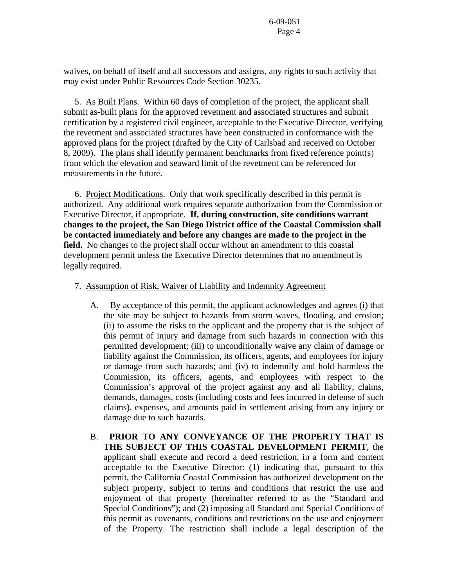waives, on behalf of itself and all successors and assigns, any rights to such activity that may exist under Public Resources Code Section 30235.

 5. As Built Plans. Within 60 days of completion of the project, the applicant shall submit as-built plans for the approved revetment and associated structures and submit certification by a registered civil engineer, acceptable to the Executive Director, verifying the revetment and associated structures have been constructed in conformance with the approved plans for the project (drafted by the City of Carlsbad and received on October 8, 2009). The plans shall identify permanent benchmarks from fixed reference point(s) from which the elevation and seaward limit of the revetment can be referenced for measurements in the future.

 6. Project Modifications. Only that work specifically described in this permit is authorized. Any additional work requires separate authorization from the Commission or Executive Director, if appropriate. **If, during construction, site conditions warrant changes to the project, the San Diego District office of the Coastal Commission shall be contacted immediately and before any changes are made to the project in the field.** No changes to the project shall occur without an amendment to this coastal development permit unless the Executive Director determines that no amendment is legally required.

#### 7.Assumption of Risk, Waiver of Liability and Indemnity Agreement

- A. By acceptance of this permit, the applicant acknowledges and agrees (i) that the site may be subject to hazards from storm waves, flooding, and erosion; (ii) to assume the risks to the applicant and the property that is the subject of this permit of injury and damage from such hazards in connection with this permitted development; (iii) to unconditionally waive any claim of damage or liability against the Commission, its officers, agents, and employees for injury or damage from such hazards; and (iv) to indemnify and hold harmless the Commission, its officers, agents, and employees with respect to the Commission's approval of the project against any and all liability, claims, demands, damages, costs (including costs and fees incurred in defense of such claims), expenses, and amounts paid in settlement arising from any injury or damage due to such hazards.
- B. **PRIOR TO ANY CONVEYANCE OF THE PROPERTY THAT IS THE SUBJECT OF THIS COASTAL DEVELOPMENT PERMIT**, the applicant shall execute and record a deed restriction, in a form and content acceptable to the Executive Director: (1) indicating that, pursuant to this permit, the California Coastal Commission has authorized development on the subject property, subject to terms and conditions that restrict the use and enjoyment of that property (hereinafter referred to as the "Standard and Special Conditions"); and (2) imposing all Standard and Special Conditions of this permit as covenants, conditions and restrictions on the use and enjoyment of the Property. The restriction shall include a legal description of the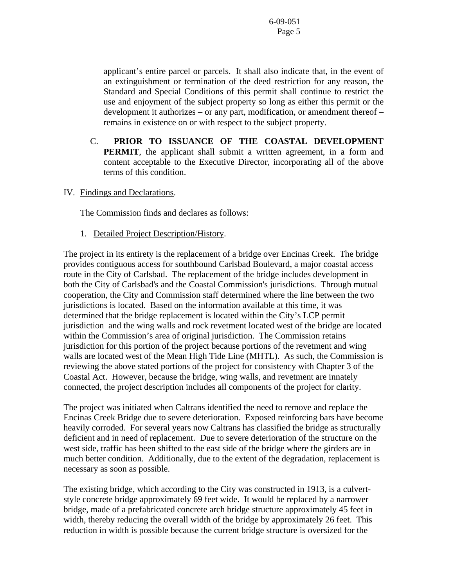applicant's entire parcel or parcels. It shall also indicate that, in the event of an extinguishment or termination of the deed restriction for any reason, the Standard and Special Conditions of this permit shall continue to restrict the use and enjoyment of the subject property so long as either this permit or the development it authorizes – or any part, modification, or amendment thereof – remains in existence on or with respect to the subject property.

- C. **PRIOR TO ISSUANCE OF THE COASTAL DEVELOPMENT PERMIT**, the applicant shall submit a written agreement, in a form and content acceptable to the Executive Director, incorporating all of the above terms of this condition.
- IV. Findings and Declarations.

The Commission finds and declares as follows:

1. Detailed Project Description/History.

The project in its entirety is the replacement of a bridge over Encinas Creek. The bridge provides contiguous access for southbound Carlsbad Boulevard, a major coastal access route in the City of Carlsbad. The replacement of the bridge includes development in both the City of Carlsbad's and the Coastal Commission's jurisdictions. Through mutual cooperation, the City and Commission staff determined where the line between the two jurisdictions is located. Based on the information available at this time, it was determined that the bridge replacement is located within the City's LCP permit jurisdiction and the wing walls and rock revetment located west of the bridge are located within the Commission's area of original jurisdiction. The Commission retains jurisdiction for this portion of the project because portions of the revetment and wing walls are located west of the Mean High Tide Line (MHTL). As such, the Commission is reviewing the above stated portions of the project for consistency with Chapter 3 of the Coastal Act. However, because the bridge, wing walls, and revetment are innately connected, the project description includes all components of the project for clarity.

The project was initiated when Caltrans identified the need to remove and replace the Encinas Creek Bridge due to severe deterioration. Exposed reinforcing bars have become heavily corroded. For several years now Caltrans has classified the bridge as structurally deficient and in need of replacement. Due to severe deterioration of the structure on the west side, traffic has been shifted to the east side of the bridge where the girders are in much better condition. Additionally, due to the extent of the degradation, replacement is necessary as soon as possible.

The existing bridge, which according to the City was constructed in 1913, is a culvertstyle concrete bridge approximately 69 feet wide. It would be replaced by a narrower bridge, made of a prefabricated concrete arch bridge structure approximately 45 feet in width, thereby reducing the overall width of the bridge by approximately 26 feet. This reduction in width is possible because the current bridge structure is oversized for the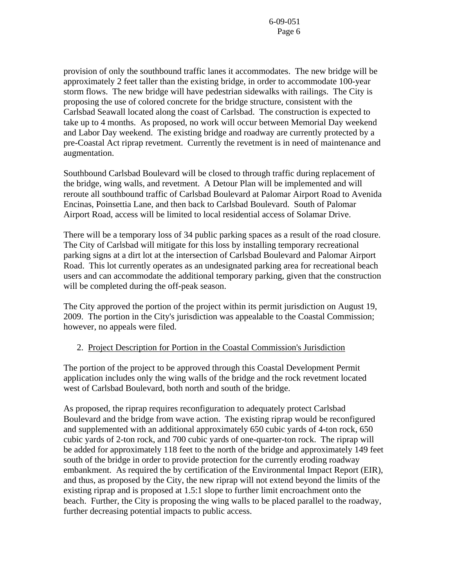provision of only the southbound traffic lanes it accommodates. The new bridge will be approximately 2 feet taller than the existing bridge, in order to accommodate 100-year storm flows. The new bridge will have pedestrian sidewalks with railings. The City is proposing the use of colored concrete for the bridge structure, consistent with the Carlsbad Seawall located along the coast of Carlsbad. The construction is expected to take up to 4 months. As proposed, no work will occur between Memorial Day weekend and Labor Day weekend. The existing bridge and roadway are currently protected by a pre-Coastal Act riprap revetment. Currently the revetment is in need of maintenance and augmentation.

Southbound Carlsbad Boulevard will be closed to through traffic during replacement of the bridge, wing walls, and revetment. A Detour Plan will be implemented and will reroute all southbound traffic of Carlsbad Boulevard at Palomar Airport Road to Avenida Encinas, Poinsettia Lane, and then back to Carlsbad Boulevard. South of Palomar Airport Road, access will be limited to local residential access of Solamar Drive.

There will be a temporary loss of 34 public parking spaces as a result of the road closure. The City of Carlsbad will mitigate for this loss by installing temporary recreational parking signs at a dirt lot at the intersection of Carlsbad Boulevard and Palomar Airport Road. This lot currently operates as an undesignated parking area for recreational beach users and can accommodate the additional temporary parking, given that the construction will be completed during the off-peak season.

The City approved the portion of the project within its permit jurisdiction on August 19, 2009. The portion in the City's jurisdiction was appealable to the Coastal Commission; however, no appeals were filed.

### 2. Project Description for Portion in the Coastal Commission's Jurisdiction

The portion of the project to be approved through this Coastal Development Permit application includes only the wing walls of the bridge and the rock revetment located west of Carlsbad Boulevard, both north and south of the bridge.

As proposed, the riprap requires reconfiguration to adequately protect Carlsbad Boulevard and the bridge from wave action. The existing riprap would be reconfigured and supplemented with an additional approximately 650 cubic yards of 4-ton rock, 650 cubic yards of 2-ton rock, and 700 cubic yards of one-quarter-ton rock. The riprap will be added for approximately 118 feet to the north of the bridge and approximately 149 feet south of the bridge in order to provide protection for the currently eroding roadway embankment. As required the by certification of the Environmental Impact Report (EIR), and thus, as proposed by the City, the new riprap will not extend beyond the limits of the existing riprap and is proposed at 1.5:1 slope to further limit encroachment onto the beach. Further, the City is proposing the wing walls to be placed parallel to the roadway, further decreasing potential impacts to public access.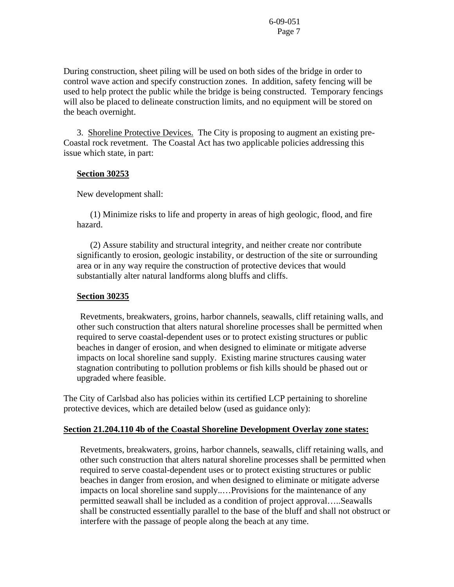During construction, sheet piling will be used on both sides of the bridge in order to control wave action and specify construction zones. In addition, safety fencing will be used to help protect the public while the bridge is being constructed. Temporary fencings will also be placed to delineate construction limits, and no equipment will be stored on the beach overnight.

3. Shoreline Protective Devices. The City is proposing to augment an existing pre-Coastal rock revetment. The Coastal Act has two applicable policies addressing this issue which state, in part:

#### **Section 30253**

New development shall:

 (1) Minimize risks to life and property in areas of high geologic, flood, and fire hazard.

 (2) Assure stability and structural integrity, and neither create nor contribute significantly to erosion, geologic instability, or destruction of the site or surrounding area or in any way require the construction of protective devices that would substantially alter natural landforms along bluffs and cliffs.

#### **Section 30235**

 Revetments, breakwaters, groins, harbor channels, seawalls, cliff retaining walls, and other such construction that alters natural shoreline processes shall be permitted when required to serve coastal-dependent uses or to protect existing structures or public beaches in danger of erosion, and when designed to eliminate or mitigate adverse impacts on local shoreline sand supply. Existing marine structures causing water stagnation contributing to pollution problems or fish kills should be phased out or upgraded where feasible.

The City of Carlsbad also has policies within its certified LCP pertaining to shoreline protective devices, which are detailed below (used as guidance only):

### **Section 21.204.110 4b of the Coastal Shoreline Development Overlay zone states:**

Revetments, breakwaters, groins, harbor channels, seawalls, cliff retaining walls, and other such construction that alters natural shoreline processes shall be permitted when required to serve coastal-dependent uses or to protect existing structures or public beaches in danger from erosion, and when designed to eliminate or mitigate adverse impacts on local shoreline sand supply..…Provisions for the maintenance of any permitted seawall shall be included as a condition of project approval…..Seawalls shall be constructed essentially parallel to the base of the bluff and shall not obstruct or interfere with the passage of people along the beach at any time.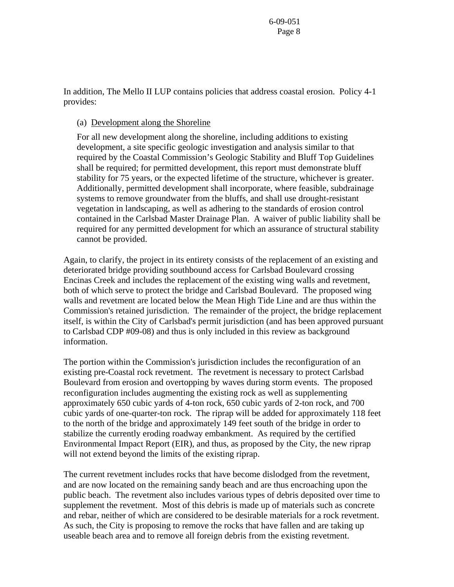In addition, The Mello II LUP contains policies that address coastal erosion. Policy 4-1 provides:

#### (a) Development along the Shoreline

For all new development along the shoreline, including additions to existing development, a site specific geologic investigation and analysis similar to that required by the Coastal Commission's Geologic Stability and Bluff Top Guidelines shall be required; for permitted development, this report must demonstrate bluff stability for 75 years, or the expected lifetime of the structure, whichever is greater. Additionally, permitted development shall incorporate, where feasible, subdrainage systems to remove groundwater from the bluffs, and shall use drought-resistant vegetation in landscaping, as well as adhering to the standards of erosion control contained in the Carlsbad Master Drainage Plan. A waiver of public liability shall be required for any permitted development for which an assurance of structural stability cannot be provided.

Again, to clarify, the project in its entirety consists of the replacement of an existing and deteriorated bridge providing southbound access for Carlsbad Boulevard crossing Encinas Creek and includes the replacement of the existing wing walls and revetment, both of which serve to protect the bridge and Carlsbad Boulevard. The proposed wing walls and revetment are located below the Mean High Tide Line and are thus within the Commission's retained jurisdiction. The remainder of the project, the bridge replacement itself, is within the City of Carlsbad's permit jurisdiction (and has been approved pursuant to Carlsbad CDP #09-08) and thus is only included in this review as background information.

The portion within the Commission's jurisdiction includes the reconfiguration of an existing pre-Coastal rock revetment. The revetment is necessary to protect Carlsbad Boulevard from erosion and overtopping by waves during storm events. The proposed reconfiguration includes augmenting the existing rock as well as supplementing approximately 650 cubic yards of 4-ton rock, 650 cubic yards of 2-ton rock, and 700 cubic yards of one-quarter-ton rock. The riprap will be added for approximately 118 feet to the north of the bridge and approximately 149 feet south of the bridge in order to stabilize the currently eroding roadway embankment. As required by the certified Environmental Impact Report (EIR), and thus, as proposed by the City, the new riprap will not extend beyond the limits of the existing riprap.

The current revetment includes rocks that have become dislodged from the revetment, and are now located on the remaining sandy beach and are thus encroaching upon the public beach. The revetment also includes various types of debris deposited over time to supplement the revetment. Most of this debris is made up of materials such as concrete and rebar, neither of which are considered to be desirable materials for a rock revetment. As such, the City is proposing to remove the rocks that have fallen and are taking up useable beach area and to remove all foreign debris from the existing revetment.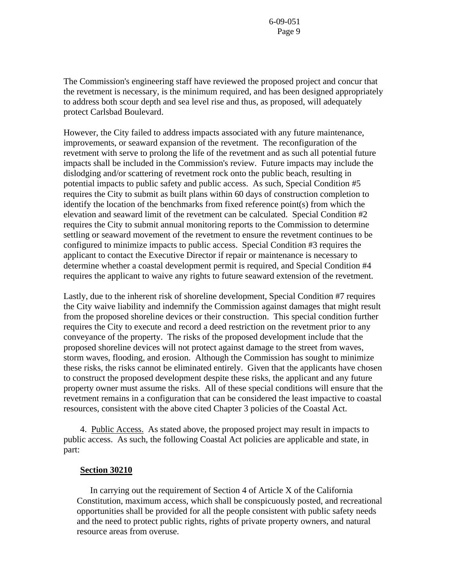The Commission's engineering staff have reviewed the proposed project and concur that the revetment is necessary, is the minimum required, and has been designed appropriately to address both scour depth and sea level rise and thus, as proposed, will adequately protect Carlsbad Boulevard.

However, the City failed to address impacts associated with any future maintenance, improvements, or seaward expansion of the revetment. The reconfiguration of the revetment with serve to prolong the life of the revetment and as such all potential future impacts shall be included in the Commission's review. Future impacts may include the dislodging and/or scattering of revetment rock onto the public beach, resulting in potential impacts to public safety and public access. As such, Special Condition #5 requires the City to submit as built plans within 60 days of construction completion to identify the location of the benchmarks from fixed reference point(s) from which the elevation and seaward limit of the revetment can be calculated. Special Condition #2 requires the City to submit annual monitoring reports to the Commission to determine settling or seaward movement of the revetment to ensure the revetment continues to be configured to minimize impacts to public access. Special Condition #3 requires the applicant to contact the Executive Director if repair or maintenance is necessary to determine whether a coastal development permit is required, and Special Condition #4 requires the applicant to waive any rights to future seaward extension of the revetment.

Lastly, due to the inherent risk of shoreline development, Special Condition #7 requires the City waive liability and indemnify the Commission against damages that might result from the proposed shoreline devices or their construction. This special condition further requires the City to execute and record a deed restriction on the revetment prior to any conveyance of the property. The risks of the proposed development include that the proposed shoreline devices will not protect against damage to the street from waves, storm waves, flooding, and erosion. Although the Commission has sought to minimize these risks, the risks cannot be eliminated entirely. Given that the applicants have chosen to construct the proposed development despite these risks, the applicant and any future property owner must assume the risks. All of these special conditions will ensure that the revetment remains in a configuration that can be considered the least impactive to coastal resources, consistent with the above cited Chapter 3 policies of the Coastal Act.

 4. Public Access. As stated above, the proposed project may result in impacts to public access. As such, the following Coastal Act policies are applicable and state, in part:

#### **Section 30210**

 In carrying out the requirement of Section 4 of Article X of the California Constitution, maximum access, which shall be conspicuously posted, and recreational opportunities shall be provided for all the people consistent with public safety needs and the need to protect public rights, rights of private property owners, and natural resource areas from overuse.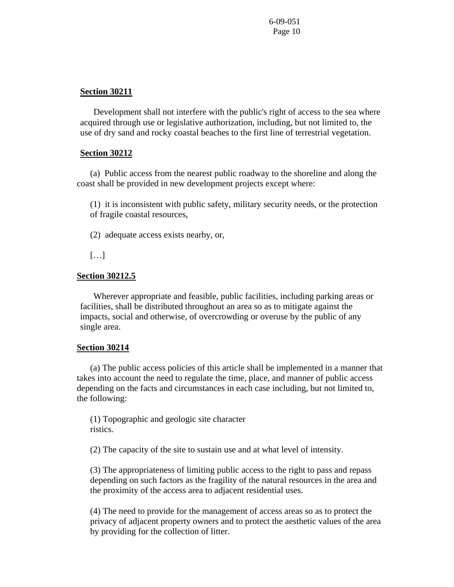#### **Section 30211**

 Development shall not interfere with the public's right of access to the sea where acquired through use or legislative authorization, including, but not limited to, the use of dry sand and rocky coastal beaches to the first line of terrestrial vegetation.

#### **Section 30212**

(a) Public access from the nearest public roadway to the shoreline and along the coast shall be provided in new development projects except where:

(1) it is inconsistent with public safety, military security needs, or the protection of fragile coastal resources,

(2) adequate access exists nearby, or,

[…]

#### **Section 30212.5**

 Wherever appropriate and feasible, public facilities, including parking areas or facilities, shall be distributed throughout an area so as to mitigate against the impacts, social and otherwise, of overcrowding or overuse by the public of any single area.

#### **Section 30214**

 (a) The public access policies of this article shall be implemented in a manner that takes into account the need to regulate the time, place, and manner of public access depending on the facts and circumstances in each case including, but not limited to, the following:

(1) Topographic and geologic site character ristics.

(2) The capacity of the site to sustain use and at what level of intensity.

(3) The appropriateness of limiting public access to the right to pass and repass depending on such factors as the fragility of the natural resources in the area and the proximity of the access area to adjacent residential uses.

(4) The need to provide for the management of access areas so as to protect the privacy of adjacent property owners and to protect the aesthetic values of the area by providing for the collection of litter.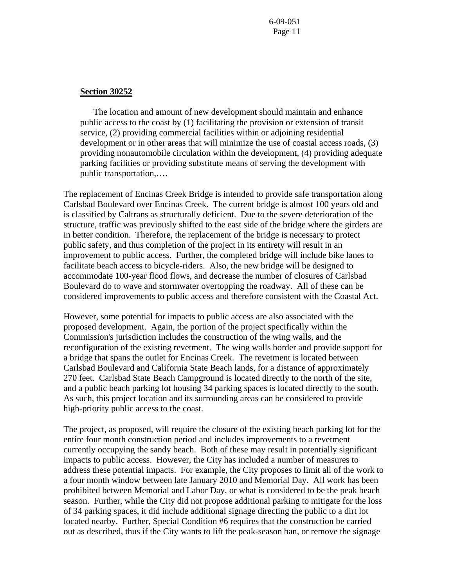#### **Section 30252**

 The location and amount of new development should maintain and enhance public access to the coast by (1) facilitating the provision or extension of transit service, (2) providing commercial facilities within or adjoining residential development or in other areas that will minimize the use of coastal access roads, (3) providing nonautomobile circulation within the development, (4) providing adequate parking facilities or providing substitute means of serving the development with public transportation,….

The replacement of Encinas Creek Bridge is intended to provide safe transportation along Carlsbad Boulevard over Encinas Creek. The current bridge is almost 100 years old and is classified by Caltrans as structurally deficient. Due to the severe deterioration of the structure, traffic was previously shifted to the east side of the bridge where the girders are in better condition. Therefore, the replacement of the bridge is necessary to protect public safety, and thus completion of the project in its entirety will result in an improvement to public access. Further, the completed bridge will include bike lanes to facilitate beach access to bicycle-riders. Also, the new bridge will be designed to accommodate 100-year flood flows, and decrease the number of closures of Carlsbad Boulevard do to wave and stormwater overtopping the roadway. All of these can be considered improvements to public access and therefore consistent with the Coastal Act.

However, some potential for impacts to public access are also associated with the proposed development. Again, the portion of the project specifically within the Commission's jurisdiction includes the construction of the wing walls, and the reconfiguration of the existing revetment. The wing walls border and provide support for a bridge that spans the outlet for Encinas Creek. The revetment is located between Carlsbad Boulevard and California State Beach lands, for a distance of approximately 270 feet. Carlsbad State Beach Campground is located directly to the north of the site, and a public beach parking lot housing 34 parking spaces is located directly to the south. As such, this project location and its surrounding areas can be considered to provide high-priority public access to the coast.

The project, as proposed, will require the closure of the existing beach parking lot for the entire four month construction period and includes improvements to a revetment currently occupying the sandy beach. Both of these may result in potentially significant impacts to public access. However, the City has included a number of measures to address these potential impacts. For example, the City proposes to limit all of the work to a four month window between late January 2010 and Memorial Day. All work has been prohibited between Memorial and Labor Day, or what is considered to be the peak beach season. Further, while the City did not propose additional parking to mitigate for the loss of 34 parking spaces, it did include additional signage directing the public to a dirt lot located nearby. Further, Special Condition #6 requires that the construction be carried out as described, thus if the City wants to lift the peak-season ban, or remove the signage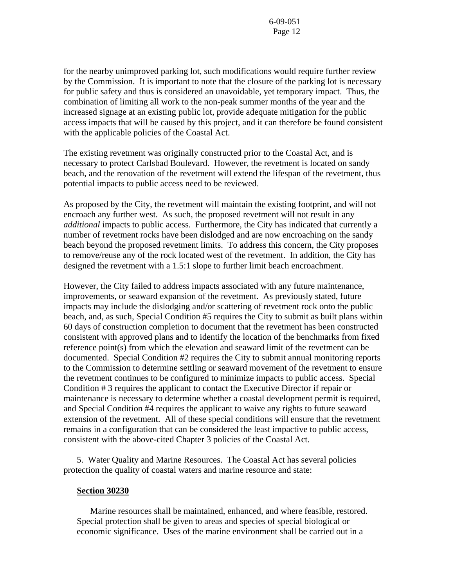for the nearby unimproved parking lot, such modifications would require further review by the Commission. It is important to note that the closure of the parking lot is necessary for public safety and thus is considered an unavoidable, yet temporary impact. Thus, the combination of limiting all work to the non-peak summer months of the year and the increased signage at an existing public lot, provide adequate mitigation for the public access impacts that will be caused by this project, and it can therefore be found consistent with the applicable policies of the Coastal Act.

The existing revetment was originally constructed prior to the Coastal Act, and is necessary to protect Carlsbad Boulevard. However, the revetment is located on sandy beach, and the renovation of the revetment will extend the lifespan of the revetment, thus potential impacts to public access need to be reviewed.

As proposed by the City, the revetment will maintain the existing footprint, and will not encroach any further west. As such, the proposed revetment will not result in any *additional* impacts to public access. Furthermore, the City has indicated that currently a number of revetment rocks have been dislodged and are now encroaching on the sandy beach beyond the proposed revetment limits. To address this concern, the City proposes to remove/reuse any of the rock located west of the revetment. In addition, the City has designed the revetment with a 1.5:1 slope to further limit beach encroachment.

However, the City failed to address impacts associated with any future maintenance, improvements, or seaward expansion of the revetment. As previously stated, future impacts may include the dislodging and/or scattering of revetment rock onto the public beach, and, as such, Special Condition #5 requires the City to submit as built plans within 60 days of construction completion to document that the revetment has been constructed consistent with approved plans and to identify the location of the benchmarks from fixed reference point(s) from which the elevation and seaward limit of the revetment can be documented. Special Condition #2 requires the City to submit annual monitoring reports to the Commission to determine settling or seaward movement of the revetment to ensure the revetment continues to be configured to minimize impacts to public access. Special Condition # 3 requires the applicant to contact the Executive Director if repair or maintenance is necessary to determine whether a coastal development permit is required, and Special Condition #4 requires the applicant to waive any rights to future seaward extension of the revetment. All of these special conditions will ensure that the revetment remains in a configuration that can be considered the least impactive to public access, consistent with the above-cited Chapter 3 policies of the Coastal Act.

5. Water Quality and Marine Resources. The Coastal Act has several policies protection the quality of coastal waters and marine resource and state:

#### **Section 30230**

 Marine resources shall be maintained, enhanced, and where feasible, restored. Special protection shall be given to areas and species of special biological or economic significance. Uses of the marine environment shall be carried out in a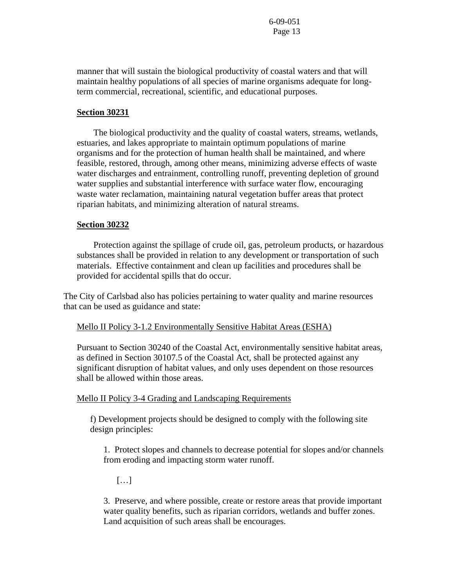manner that will sustain the biological productivity of coastal waters and that will maintain healthy populations of all species of marine organisms adequate for longterm commercial, recreational, scientific, and educational purposes.

#### **Section 30231**

 The biological productivity and the quality of coastal waters, streams, wetlands, estuaries, and lakes appropriate to maintain optimum populations of marine organisms and for the protection of human health shall be maintained, and where feasible, restored, through, among other means, minimizing adverse effects of waste water discharges and entrainment, controlling runoff, preventing depletion of ground water supplies and substantial interference with surface water flow, encouraging waste water reclamation, maintaining natural vegetation buffer areas that protect riparian habitats, and minimizing alteration of natural streams.

#### **Section 30232**

 Protection against the spillage of crude oil, gas, petroleum products, or hazardous substances shall be provided in relation to any development or transportation of such materials. Effective containment and clean up facilities and procedures shall be provided for accidental spills that do occur.

The City of Carlsbad also has policies pertaining to water quality and marine resources that can be used as guidance and state:

#### Mello II Policy 3-1.2 Environmentally Sensitive Habitat Areas (ESHA)

Pursuant to Section 30240 of the Coastal Act, environmentally sensitive habitat areas, as defined in Section 30107.5 of the Coastal Act, shall be protected against any significant disruption of habitat values, and only uses dependent on those resources shall be allowed within those areas.

Mello II Policy 3-4 Grading and Landscaping Requirements

f) Development projects should be designed to comply with the following site design principles:

1. Protect slopes and channels to decrease potential for slopes and/or channels from eroding and impacting storm water runoff.

[…]

3. Preserve, and where possible, create or restore areas that provide important water quality benefits, such as riparian corridors, wetlands and buffer zones. Land acquisition of such areas shall be encourages.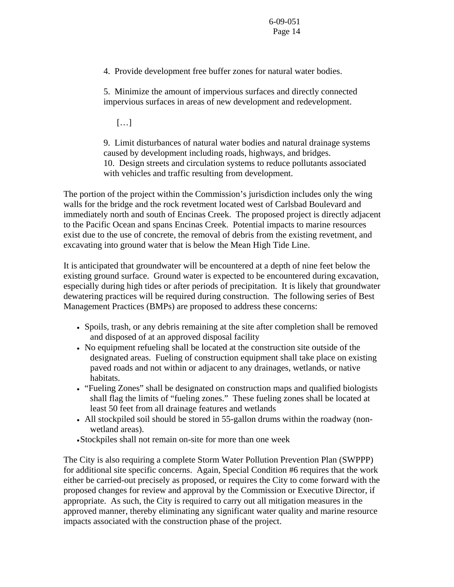4. Provide development free buffer zones for natural water bodies.

5. Minimize the amount of impervious surfaces and directly connected impervious surfaces in areas of new development and redevelopment.

 $[\ldots]$ 

9. Limit disturbances of natural water bodies and natural drainage systems caused by development including roads, highways, and bridges. 10. Design streets and circulation systems to reduce pollutants associated with vehicles and traffic resulting from development.

The portion of the project within the Commission's jurisdiction includes only the wing walls for the bridge and the rock revetment located west of Carlsbad Boulevard and immediately north and south of Encinas Creek. The proposed project is directly adjacent to the Pacific Ocean and spans Encinas Creek. Potential impacts to marine resources exist due to the use of concrete, the removal of debris from the existing revetment, and excavating into ground water that is below the Mean High Tide Line.

It is anticipated that groundwater will be encountered at a depth of nine feet below the existing ground surface. Ground water is expected to be encountered during excavation, especially during high tides or after periods of precipitation. It is likely that groundwater dewatering practices will be required during construction. The following series of Best Management Practices (BMPs) are proposed to address these concerns:

- Spoils, trash, or any debris remaining at the site after completion shall be removed and disposed of at an approved disposal facility
- No equipment refueling shall be located at the construction site outside of the designated areas. Fueling of construction equipment shall take place on existing paved roads and not within or adjacent to any drainages, wetlands, or native habitats.
- "Fueling Zones" shall be designated on construction maps and qualified biologists shall flag the limits of "fueling zones." These fueling zones shall be located at least 50 feet from all drainage features and wetlands
- All stockpiled soil should be stored in 55-gallon drums within the roadway (nonwetland areas).

•Stockpiles shall not remain on-site for more than one week

The City is also requiring a complete Storm Water Pollution Prevention Plan (SWPPP) for additional site specific concerns. Again, Special Condition #6 requires that the work either be carried-out precisely as proposed, or requires the City to come forward with the proposed changes for review and approval by the Commission or Executive Director, if appropriate. As such, the City is required to carry out all mitigation measures in the approved manner, thereby eliminating any significant water quality and marine resource impacts associated with the construction phase of the project.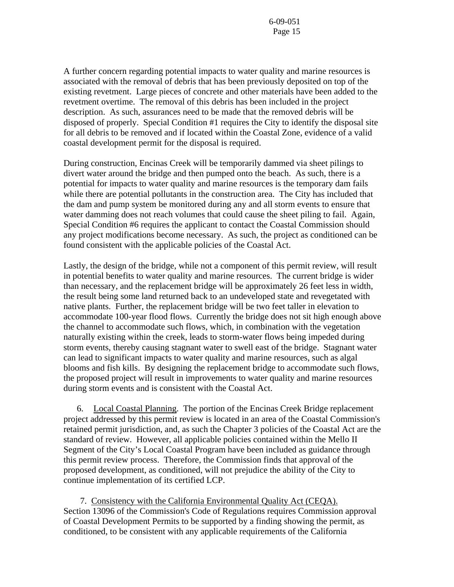A further concern regarding potential impacts to water quality and marine resources is associated with the removal of debris that has been previously deposited on top of the existing revetment. Large pieces of concrete and other materials have been added to the revetment overtime. The removal of this debris has been included in the project description. As such, assurances need to be made that the removed debris will be disposed of properly. Special Condition #1 requires the City to identify the disposal site for all debris to be removed and if located within the Coastal Zone, evidence of a valid coastal development permit for the disposal is required.

During construction, Encinas Creek will be temporarily dammed via sheet pilings to divert water around the bridge and then pumped onto the beach. As such, there is a potential for impacts to water quality and marine resources is the temporary dam fails while there are potential pollutants in the construction area. The City has included that the dam and pump system be monitored during any and all storm events to ensure that water damming does not reach volumes that could cause the sheet piling to fail. Again, Special Condition #6 requires the applicant to contact the Coastal Commission should any project modifications become necessary. As such, the project as conditioned can be found consistent with the applicable policies of the Coastal Act.

Lastly, the design of the bridge, while not a component of this permit review, will result in potential benefits to water quality and marine resources. The current bridge is wider than necessary, and the replacement bridge will be approximately 26 feet less in width, the result being some land returned back to an undeveloped state and revegetated with native plants. Further, the replacement bridge will be two feet taller in elevation to accommodate 100-year flood flows. Currently the bridge does not sit high enough above the channel to accommodate such flows, which, in combination with the vegetation naturally existing within the creek, leads to storm-water flows being impeded during storm events, thereby causing stagnant water to swell east of the bridge. Stagnant water can lead to significant impacts to water quality and marine resources, such as algal blooms and fish kills. By designing the replacement bridge to accommodate such flows, the proposed project will result in improvements to water quality and marine resources during storm events and is consistent with the Coastal Act.

6. Local Coastal Planning. The portion of the Encinas Creek Bridge replacement project addressed by this permit review is located in an area of the Coastal Commission's retained permit jurisdiction, and, as such the Chapter 3 policies of the Coastal Act are the standard of review. However, all applicable policies contained within the Mello II Segment of the City's Local Coastal Program have been included as guidance through this permit review process. Therefore, the Commission finds that approval of the proposed development, as conditioned, will not prejudice the ability of the City to continue implementation of its certified LCP.

 7. Consistency with the California Environmental Quality Act (CEQA). Section 13096 of the Commission's Code of Regulations requires Commission approval of Coastal Development Permits to be supported by a finding showing the permit, as conditioned, to be consistent with any applicable requirements of the California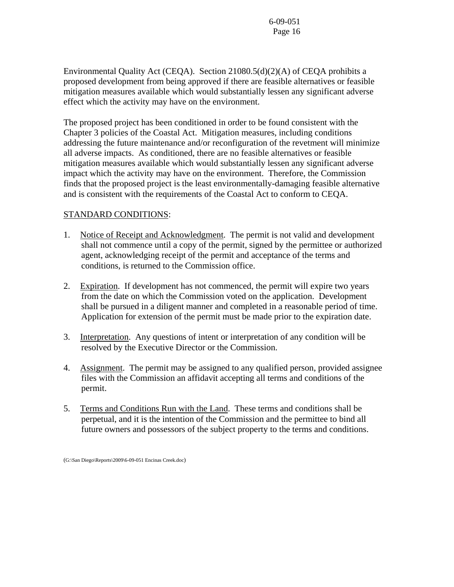Environmental Quality Act (CEQA). Section 21080.5(d)(2)(A) of CEQA prohibits a proposed development from being approved if there are feasible alternatives or feasible mitigation measures available which would substantially lessen any significant adverse effect which the activity may have on the environment.

The proposed project has been conditioned in order to be found consistent with the Chapter 3 policies of the Coastal Act. Mitigation measures, including conditions addressing the future maintenance and/or reconfiguration of the revetment will minimize all adverse impacts. As conditioned, there are no feasible alternatives or feasible mitigation measures available which would substantially lessen any significant adverse impact which the activity may have on the environment. Therefore, the Commission finds that the proposed project is the least environmentally-damaging feasible alternative and is consistent with the requirements of the Coastal Act to conform to CEQA.

## STANDARD CONDITIONS:

- 1. Notice of Receipt and Acknowledgment. The permit is not valid and development shall not commence until a copy of the permit, signed by the permittee or authorized agent, acknowledging receipt of the permit and acceptance of the terms and conditions, is returned to the Commission office.
- 2. Expiration. If development has not commenced, the permit will expire two years from the date on which the Commission voted on the application. Development shall be pursued in a diligent manner and completed in a reasonable period of time. Application for extension of the permit must be made prior to the expiration date.
- 3. Interpretation. Any questions of intent or interpretation of any condition will be resolved by the Executive Director or the Commission.
- 4. Assignment. The permit may be assigned to any qualified person, provided assignee files with the Commission an affidavit accepting all terms and conditions of the permit.
- 5. Terms and Conditions Run with the Land. These terms and conditions shall be perpetual, and it is the intention of the Commission and the permittee to bind all future owners and possessors of the subject property to the terms and conditions.

(G:\San Diego\Reports\2009\6-09-051 Encinas Creek.doc)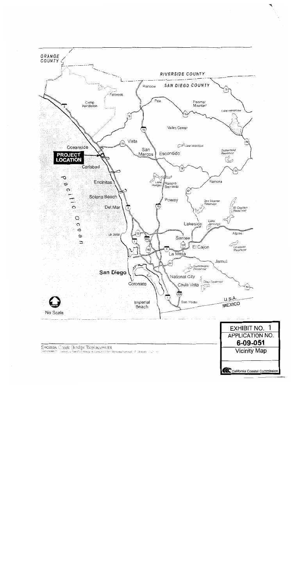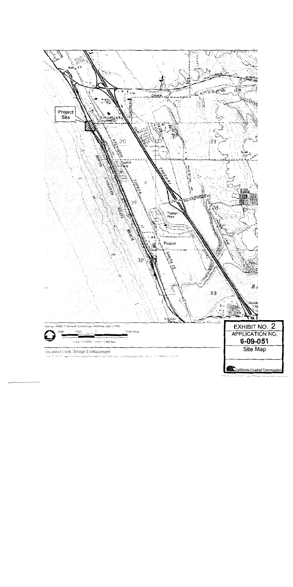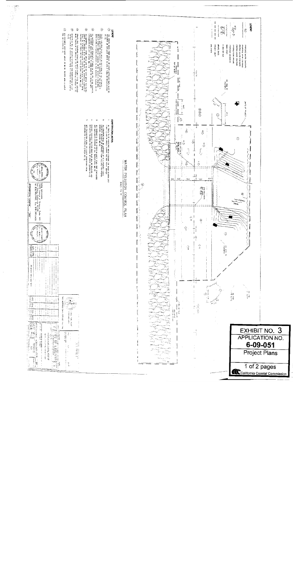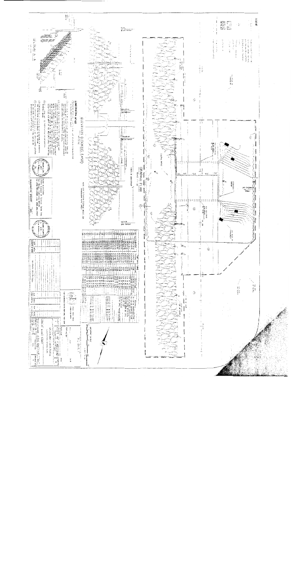